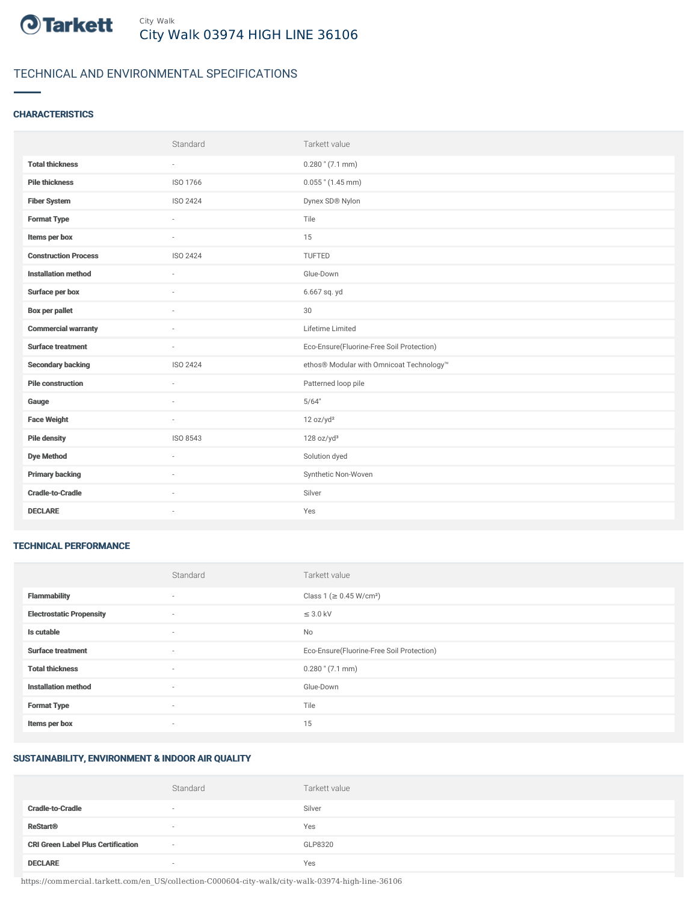

# TECHNICAL AND ENVIRONMENTAL SPECIFICATIONS

## **CHARACTERISTICS**

|                             | Standard        | Tarkett value                             |
|-----------------------------|-----------------|-------------------------------------------|
| <b>Total thickness</b>      | $\sim$          | $0.280$ " (7.1 mm)                        |
| <b>Pile thickness</b>       | ISO 1766        | $0.055$ " (1.45 mm)                       |
| <b>Fiber System</b>         | <b>ISO 2424</b> | Dynex SD® Nylon                           |
| <b>Format Type</b>          | ÷.              | Tile                                      |
| Items per box               | $\sim$          | 15                                        |
| <b>Construction Process</b> | ISO 2424        | TUFTED                                    |
| <b>Installation method</b>  | ×.              | Glue-Down                                 |
| Surface per box             | ÷               | 6.667 sq. yd                              |
| <b>Box per pallet</b>       | $\sim$          | 30                                        |
| <b>Commercial warranty</b>  |                 | Lifetime Limited                          |
| <b>Surface treatment</b>    | $\sim$          | Eco-Ensure(Fluorine-Free Soil Protection) |
| <b>Secondary backing</b>    | ISO 2424        | ethos® Modular with Omnicoat Technology™  |
| <b>Pile construction</b>    | ×.              | Patterned loop pile                       |
| Gauge                       | ٠               | 5/64"                                     |
| <b>Face Weight</b>          | ×.              | 12 oz/yd <sup>2</sup>                     |
| <b>Pile density</b>         | ISO 8543        | 128 oz/yd <sup>3</sup>                    |
| <b>Dye Method</b>           | ×.              | Solution dyed                             |
| <b>Primary backing</b>      | ٠               | Synthetic Non-Woven                       |
| <b>Cradle-to-Cradle</b>     | $\sim$          | Silver                                    |
| <b>DECLARE</b>              | ٠               | Yes                                       |

#### TECHNICAL PERFORMANCE

|                                 | Standard                 | Tarkett value                             |
|---------------------------------|--------------------------|-------------------------------------------|
| <b>Flammability</b>             | ۰                        | Class 1 (≥ 0.45 W/cm <sup>2</sup> )       |
| <b>Electrostatic Propensity</b> | $\sim$                   | $\leq$ 3.0 kV                             |
| Is cutable                      | $\overline{\phantom{a}}$ | No                                        |
| <b>Surface treatment</b>        | $\sim$                   | Eco-Ensure(Fluorine-Free Soil Protection) |
| <b>Total thickness</b>          | $\sim$                   | $0.280$ " (7.1 mm)                        |
| <b>Installation method</b>      | $\sim$                   | Glue-Down                                 |
| <b>Format Type</b>              | $\sim$                   | Tile                                      |
| Items per box                   | ۰                        | 15                                        |

#### SUSTAINABILITY, ENVIRONMENT & INDOOR AIR QUALITY

|                                           | Standard | Tarkett value |
|-------------------------------------------|----------|---------------|
| <b>Cradle-to-Cradle</b>                   | $\sim$   | Silver        |
| <b>ReStart<sup>®</sup></b>                | $\sim$   | Yes           |
| <b>CRI Green Label Plus Certification</b> | $\sim$   | GLP8320       |
| <b>DECLARE</b>                            | $\sim$   | Yes           |

https://commercial.tarkett.com/en\_US/collection-C000604-city-walk/city-walk-03974-high-line-36106